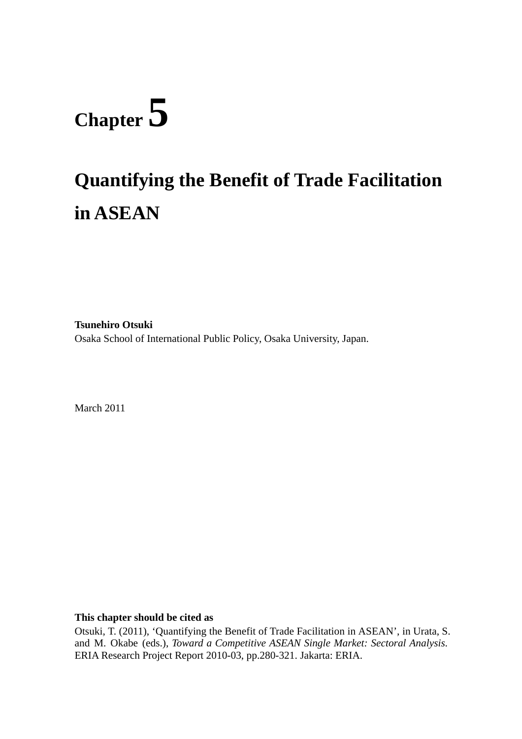# **Chapter 5**

# **Quantifying the Benefit of Trade Facilitation in ASEAN**

**Tsunehiro Otsuki**  Osaka School of International Public Policy, Osaka University, Japan.

March 2011

#### **This chapter should be cited as**

Otsuki, T. (2011), 'Quantifying the Benefit of Trade Facilitation in ASEAN', in Urata, S. and M. Okabe (eds.), *Toward a Competitive ASEAN Single Market: Sectoral Analysis*. ERIA Research Project Report 2010-03, pp.280-321. Jakarta: ERIA.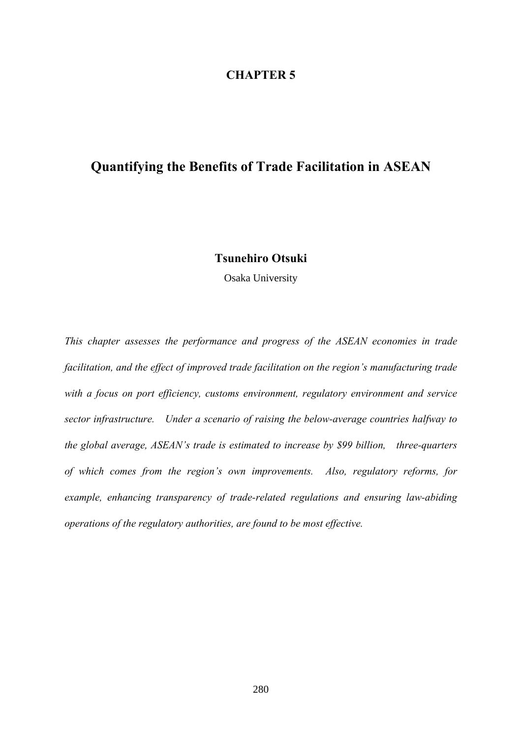#### **CHAPTER 5**

#### **Quantifying the Benefits of Trade Facilitation in ASEAN**

#### **Tsunehiro Otsuki**

Osaka University

*This chapter assesses the performance and progress of the ASEAN economies in trade facilitation, and the effect of improved trade facilitation on the region's manufacturing trade with a focus on port efficiency, customs environment, regulatory environment and service sector infrastructure. Under a scenario of raising the below-average countries halfway to the global average, ASEAN's trade is estimated to increase by \$99 billion, three-quarters of which comes from the region's own improvements. Also, regulatory reforms, for example, enhancing transparency of trade-related regulations and ensuring law-abiding operations of the regulatory authorities, are found to be most effective.*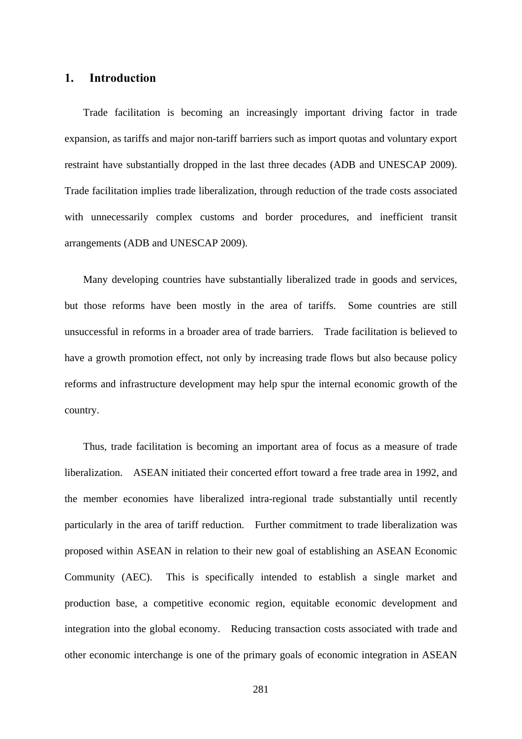#### **1. Introduction**

Trade facilitation is becoming an increasingly important driving factor in trade expansion, as tariffs and major non-tariff barriers such as import quotas and voluntary export restraint have substantially dropped in the last three decades (ADB and UNESCAP 2009). Trade facilitation implies trade liberalization, through reduction of the trade costs associated with unnecessarily complex customs and border procedures, and inefficient transit arrangements (ADB and UNESCAP 2009).

Many developing countries have substantially liberalized trade in goods and services, but those reforms have been mostly in the area of tariffs. Some countries are still unsuccessful in reforms in a broader area of trade barriers. Trade facilitation is believed to have a growth promotion effect, not only by increasing trade flows but also because policy reforms and infrastructure development may help spur the internal economic growth of the country.

Thus, trade facilitation is becoming an important area of focus as a measure of trade liberalization. ASEAN initiated their concerted effort toward a free trade area in 1992, and the member economies have liberalized intra-regional trade substantially until recently particularly in the area of tariff reduction. Further commitment to trade liberalization was proposed within ASEAN in relation to their new goal of establishing an ASEAN Economic Community (AEC). This is specifically intended to establish a single market and production base, a competitive economic region, equitable economic development and integration into the global economy. Reducing transaction costs associated with trade and other economic interchange is one of the primary goals of economic integration in ASEAN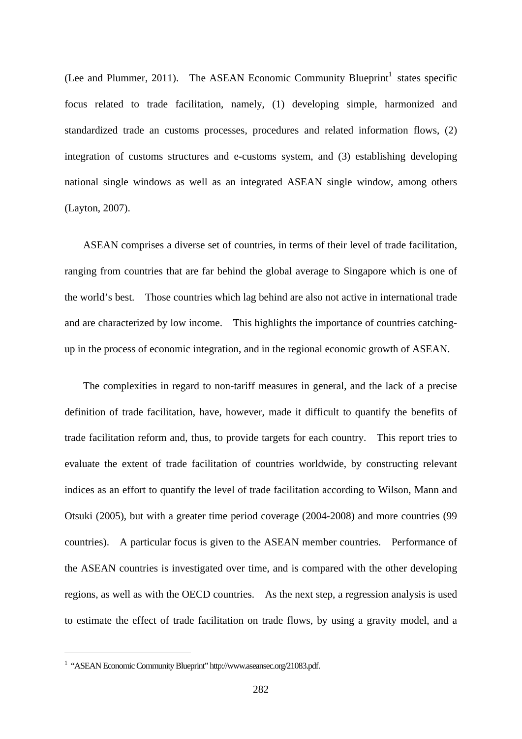(Lee and Plummer, 2011). The ASEAN Economic Community Blueprint<sup>1</sup> states specific focus related to trade facilitation, namely, (1) developing simple, harmonized and standardized trade an customs processes, procedures and related information flows, (2) integration of customs structures and e-customs system, and (3) establishing developing national single windows as well as an integrated ASEAN single window, among others (Layton, 2007).

ASEAN comprises a diverse set of countries, in terms of their level of trade facilitation, ranging from countries that are far behind the global average to Singapore which is one of the world's best. Those countries which lag behind are also not active in international trade and are characterized by low income. This highlights the importance of countries catchingup in the process of economic integration, and in the regional economic growth of ASEAN.

The complexities in regard to non-tariff measures in general, and the lack of a precise definition of trade facilitation, have, however, made it difficult to quantify the benefits of trade facilitation reform and, thus, to provide targets for each country. This report tries to evaluate the extent of trade facilitation of countries worldwide, by constructing relevant indices as an effort to quantify the level of trade facilitation according to Wilson, Mann and Otsuki (2005), but with a greater time period coverage (2004-2008) and more countries (99 countries). A particular focus is given to the ASEAN member countries. Performance of the ASEAN countries is investigated over time, and is compared with the other developing regions, as well as with the OECD countries. As the next step, a regression analysis is used to estimate the effect of trade facilitation on trade flows, by using a gravity model, and a

 $\overline{a}$ 

<sup>&</sup>lt;sup>1</sup> "ASEAN Economic Community Blueprint" http://www.aseansec.org/21083.pdf.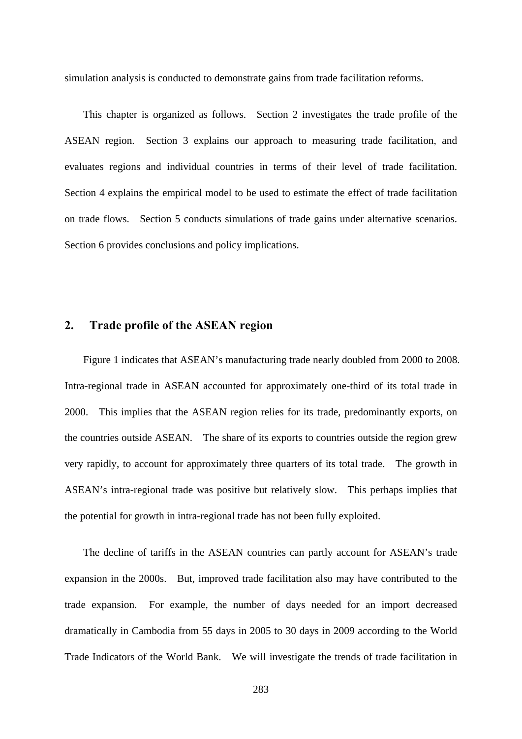simulation analysis is conducted to demonstrate gains from trade facilitation reforms.

This chapter is organized as follows. Section 2 investigates the trade profile of the ASEAN region. Section 3 explains our approach to measuring trade facilitation, and evaluates regions and individual countries in terms of their level of trade facilitation. Section 4 explains the empirical model to be used to estimate the effect of trade facilitation on trade flows. Section 5 conducts simulations of trade gains under alternative scenarios. Section 6 provides conclusions and policy implications.

#### **2. Trade profile of the ASEAN region**

Figure 1 indicates that ASEAN's manufacturing trade nearly doubled from 2000 to 2008. Intra-regional trade in ASEAN accounted for approximately one-third of its total trade in 2000. This implies that the ASEAN region relies for its trade, predominantly exports, on the countries outside ASEAN. The share of its exports to countries outside the region grew very rapidly, to account for approximately three quarters of its total trade. The growth in ASEAN's intra-regional trade was positive but relatively slow. This perhaps implies that the potential for growth in intra-regional trade has not been fully exploited.

The decline of tariffs in the ASEAN countries can partly account for ASEAN's trade expansion in the 2000s. But, improved trade facilitation also may have contributed to the trade expansion. For example, the number of days needed for an import decreased dramatically in Cambodia from 55 days in 2005 to 30 days in 2009 according to the World Trade Indicators of the World Bank. We will investigate the trends of trade facilitation in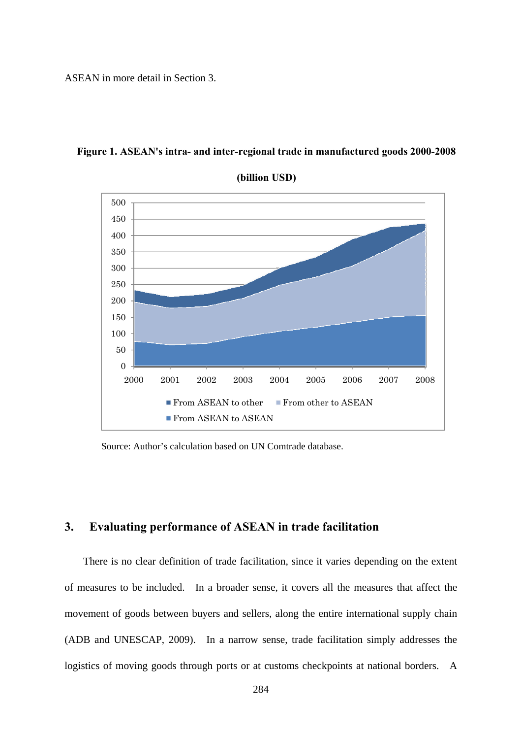ASEAN in more detail in Section 3.



**Figure 1. ASEAN's intra- and inter-regional trade in manufactured goods 2000-2008** 

Source: Author's calculation based on UN Comtrade database.

#### **3. Evaluating performance of ASEAN in trade facilitation**

There is no clear definition of trade facilitation, since it varies depending on the extent of measures to be included. In a broader sense, it covers all the measures that affect the movement of goods between buyers and sellers, along the entire international supply chain (ADB and UNESCAP, 2009). In a narrow sense, trade facilitation simply addresses the logistics of moving goods through ports or at customs checkpoints at national borders. A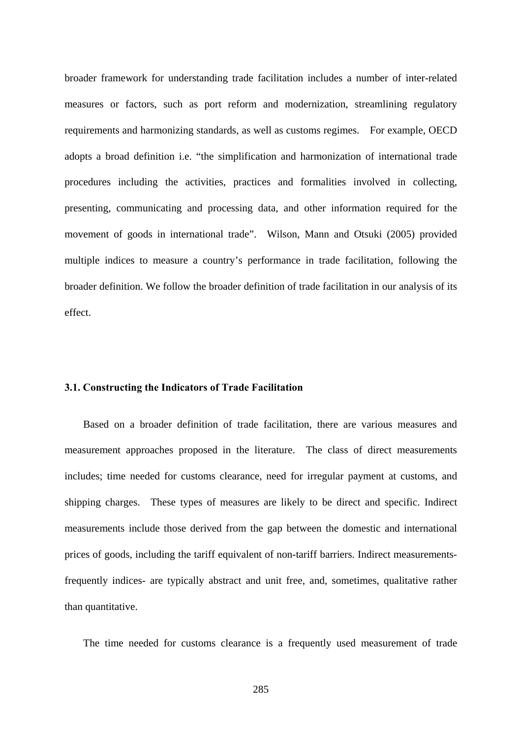broader framework for understanding trade facilitation includes a number of inter-related measures or factors, such as port reform and modernization, streamlining regulatory requirements and harmonizing standards, as well as customs regimes. For example, OECD adopts a broad definition i.e. "the simplification and harmonization of international trade procedures including the activities, practices and formalities involved in collecting, presenting, communicating and processing data, and other information required for the movement of goods in international trade". Wilson, Mann and Otsuki (2005) provided multiple indices to measure a country's performance in trade facilitation, following the broader definition. We follow the broader definition of trade facilitation in our analysis of its effect.

#### **3.1. Constructing the Indicators of Trade Facilitation**

Based on a broader definition of trade facilitation, there are various measures and measurement approaches proposed in the literature. The class of direct measurements includes; time needed for customs clearance, need for irregular payment at customs, and shipping charges. These types of measures are likely to be direct and specific. Indirect measurements include those derived from the gap between the domestic and international prices of goods, including the tariff equivalent of non-tariff barriers. Indirect measurementsfrequently indices- are typically abstract and unit free, and, sometimes, qualitative rather than quantitative.

The time needed for customs clearance is a frequently used measurement of trade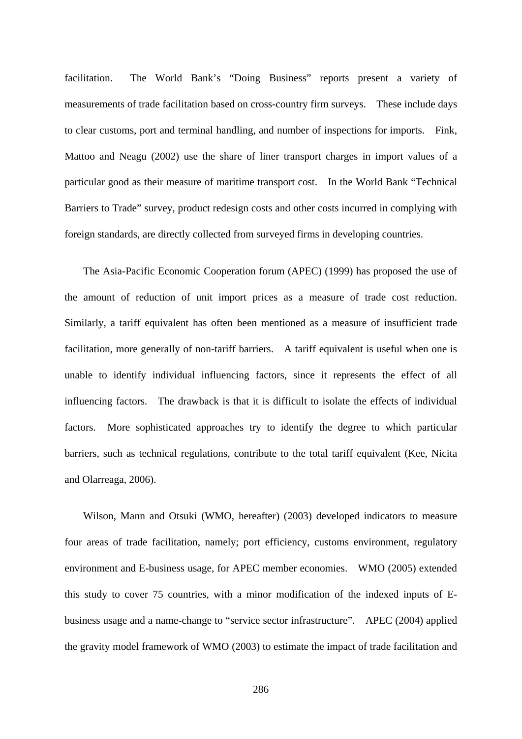facilitation. The World Bank's "Doing Business" reports present a variety of measurements of trade facilitation based on cross-country firm surveys. These include days to clear customs, port and terminal handling, and number of inspections for imports. Fink, Mattoo and Neagu (2002) use the share of liner transport charges in import values of a particular good as their measure of maritime transport cost. In the World Bank "Technical Barriers to Trade" survey, product redesign costs and other costs incurred in complying with foreign standards, are directly collected from surveyed firms in developing countries.

The Asia-Pacific Economic Cooperation forum (APEC) (1999) has proposed the use of the amount of reduction of unit import prices as a measure of trade cost reduction. Similarly, a tariff equivalent has often been mentioned as a measure of insufficient trade facilitation, more generally of non-tariff barriers. A tariff equivalent is useful when one is unable to identify individual influencing factors, since it represents the effect of all influencing factors. The drawback is that it is difficult to isolate the effects of individual factors. More sophisticated approaches try to identify the degree to which particular barriers, such as technical regulations, contribute to the total tariff equivalent (Kee, Nicita and Olarreaga, 2006).

Wilson, Mann and Otsuki (WMO, hereafter) (2003) developed indicators to measure four areas of trade facilitation, namely; port efficiency, customs environment, regulatory environment and E-business usage, for APEC member economies. WMO (2005) extended this study to cover 75 countries, with a minor modification of the indexed inputs of Ebusiness usage and a name-change to "service sector infrastructure". APEC (2004) applied the gravity model framework of WMO (2003) to estimate the impact of trade facilitation and

286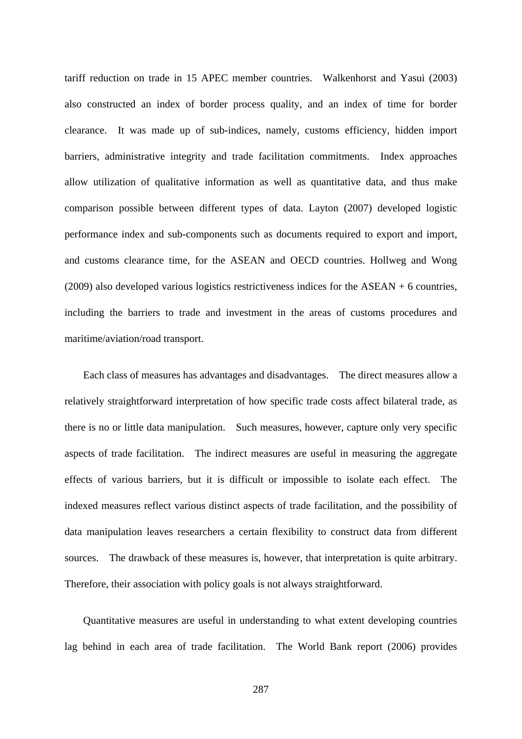tariff reduction on trade in 15 APEC member countries. Walkenhorst and Yasui (2003) also constructed an index of border process quality, and an index of time for border clearance. It was made up of sub-indices, namely, customs efficiency, hidden import barriers, administrative integrity and trade facilitation commitments. Index approaches allow utilization of qualitative information as well as quantitative data, and thus make comparison possible between different types of data. Layton (2007) developed logistic performance index and sub-components such as documents required to export and import, and customs clearance time, for the ASEAN and OECD countries. Hollweg and Wong (2009) also developed various logistics restrictiveness indices for the ASEAN + 6 countries, including the barriers to trade and investment in the areas of customs procedures and maritime/aviation/road transport.

Each class of measures has advantages and disadvantages. The direct measures allow a relatively straightforward interpretation of how specific trade costs affect bilateral trade, as there is no or little data manipulation. Such measures, however, capture only very specific aspects of trade facilitation. The indirect measures are useful in measuring the aggregate effects of various barriers, but it is difficult or impossible to isolate each effect. The indexed measures reflect various distinct aspects of trade facilitation, and the possibility of data manipulation leaves researchers a certain flexibility to construct data from different sources. The drawback of these measures is, however, that interpretation is quite arbitrary. Therefore, their association with policy goals is not always straightforward.

Quantitative measures are useful in understanding to what extent developing countries lag behind in each area of trade facilitation. The World Bank report (2006) provides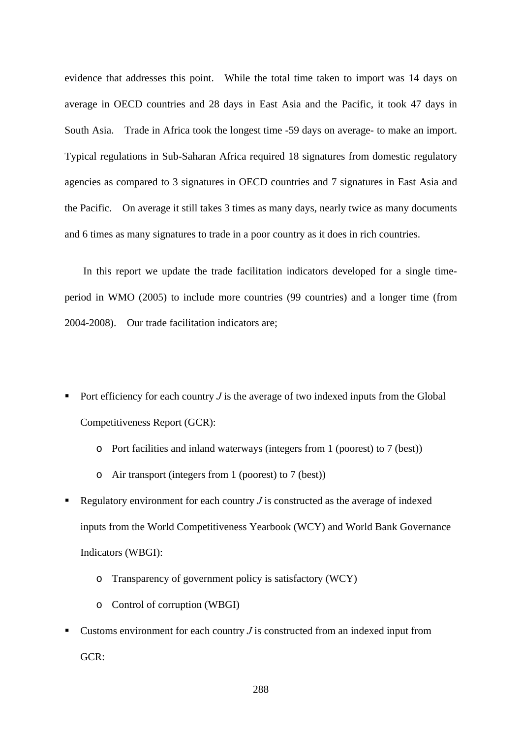evidence that addresses this point. While the total time taken to import was 14 days on average in OECD countries and 28 days in East Asia and the Pacific, it took 47 days in South Asia. Trade in Africa took the longest time -59 days on average- to make an import. Typical regulations in Sub-Saharan Africa required 18 signatures from domestic regulatory agencies as compared to 3 signatures in OECD countries and 7 signatures in East Asia and the Pacific. On average it still takes 3 times as many days, nearly twice as many documents and 6 times as many signatures to trade in a poor country as it does in rich countries.

In this report we update the trade facilitation indicators developed for a single timeperiod in WMO (2005) to include more countries (99 countries) and a longer time (from 2004-2008). Our trade facilitation indicators are;

- Port efficiency for each country  $J$  is the average of two indexed inputs from the Global Competitiveness Report (GCR):
	- o Port facilities and inland waterways (integers from 1 (poorest) to 7 (best))
	- o Air transport (integers from 1 (poorest) to 7 (best))
- Regulatory environment for each country  $J$  is constructed as the average of indexed inputs from the World Competitiveness Yearbook (WCY) and World Bank Governance Indicators (WBGI):
	- o Transparency of government policy is satisfactory (WCY)
	- o Control of corruption (WBGI)
- Customs environment for each country *J* is constructed from an indexed input from GCR: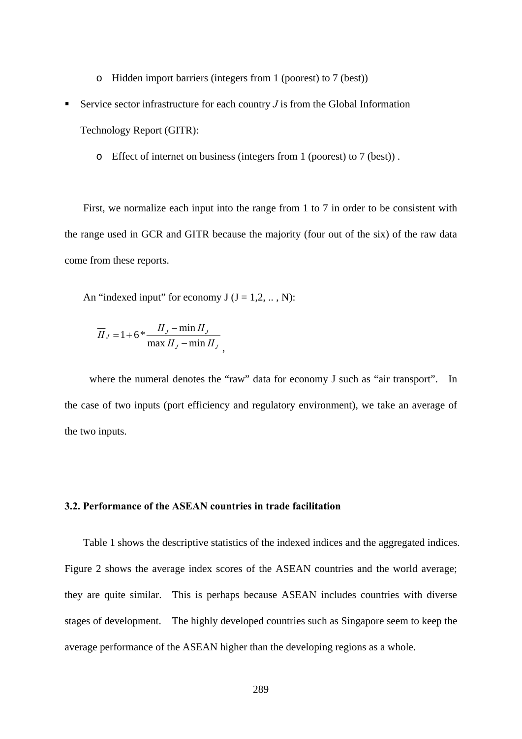- o Hidden import barriers (integers from 1 (poorest) to 7 (best))
- Service sector infrastructure for each country  $J$  is from the Global Information

Technology Report (GITR):

o Effect of internet on business (integers from 1 (poorest) to 7 (best)) .

First, we normalize each input into the range from 1 to 7 in order to be consistent with the range used in GCR and GITR because the majority (four out of the six) of the raw data come from these reports.

An "indexed input" for economy  $J (J = 1, 2, \dots, N)$ :

$$
\overline{II}_J = 1 + 6 * \frac{II_J - \min II_J}{\max II_J - \min II_J},
$$

where the numeral denotes the "raw" data for economy J such as "air transport". In the case of two inputs (port efficiency and regulatory environment), we take an average of the two inputs.

#### **3.2. Performance of the ASEAN countries in trade facilitation**

Table 1 shows the descriptive statistics of the indexed indices and the aggregated indices. Figure 2 shows the average index scores of the ASEAN countries and the world average; they are quite similar. This is perhaps because ASEAN includes countries with diverse stages of development. The highly developed countries such as Singapore seem to keep the average performance of the ASEAN higher than the developing regions as a whole.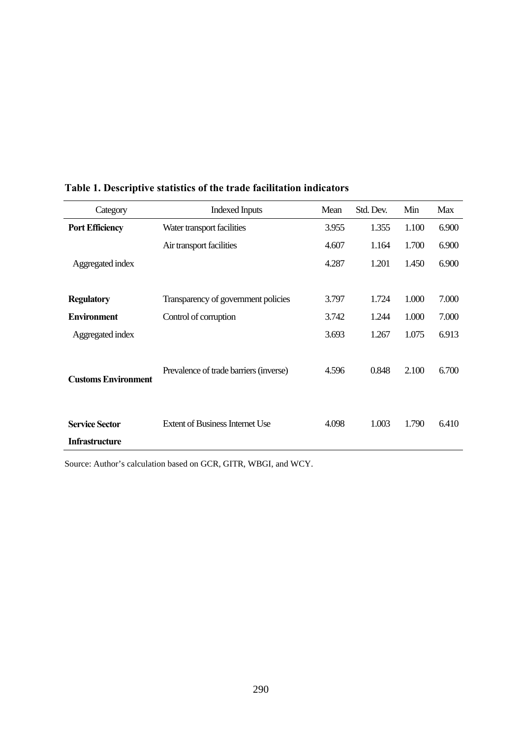| Category                                       | <b>Indexed Inputs</b>                  | Mean  | Std. Dev. | Min   | Max   |
|------------------------------------------------|----------------------------------------|-------|-----------|-------|-------|
| <b>Port Efficiency</b>                         | Water transport facilities             | 3.955 | 1.355     | 1.100 | 6.900 |
|                                                | Air transport facilities               | 4.607 | 1.164     | 1.700 | 6.900 |
| Aggregated index                               |                                        | 4.287 | 1.201     | 1.450 | 6.900 |
|                                                |                                        |       |           |       |       |
| <b>Regulatory</b>                              | Transparency of government policies    | 3.797 | 1.724     | 1.000 | 7.000 |
| <b>Environment</b>                             | Control of corruption                  | 3.742 | 1.244     | 1.000 | 7.000 |
| Aggregated index                               |                                        | 3.693 | 1.267     | 1.075 | 6.913 |
| <b>Customs Environment</b>                     | Prevalence of trade barriers (inverse) | 4.596 | 0.848     | 2.100 | 6.700 |
| <b>Service Sector</b><br><b>Infrastructure</b> | <b>Extent of Business Internet Use</b> | 4.098 | 1.003     | 1.790 | 6.410 |

#### **Table 1. Descriptive statistics of the trade facilitation indicators**

Source: Author's calculation based on GCR, GITR, WBGI, and WCY.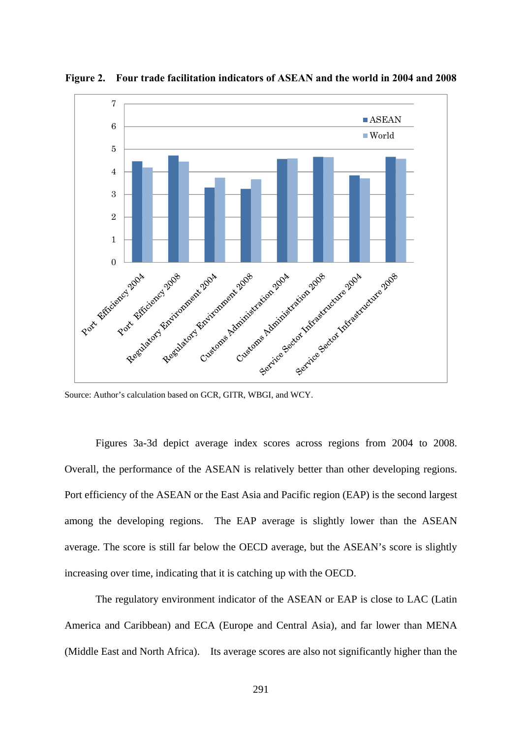

**Figure 2. Four trade facilitation indicators of ASEAN and the world in 2004 and 2008** 

Source: Author's calculation based on GCR, GITR, WBGI, and WCY.

Figures 3a-3d depict average index scores across regions from 2004 to 2008. Overall, the performance of the ASEAN is relatively better than other developing regions. Port efficiency of the ASEAN or the East Asia and Pacific region (EAP) is the second largest among the developing regions. The EAP average is slightly lower than the ASEAN average. The score is still far below the OECD average, but the ASEAN's score is slightly increasing over time, indicating that it is catching up with the OECD.

The regulatory environment indicator of the ASEAN or EAP is close to LAC (Latin America and Caribbean) and ECA (Europe and Central Asia), and far lower than MENA (Middle East and North Africa). Its average scores are also not significantly higher than the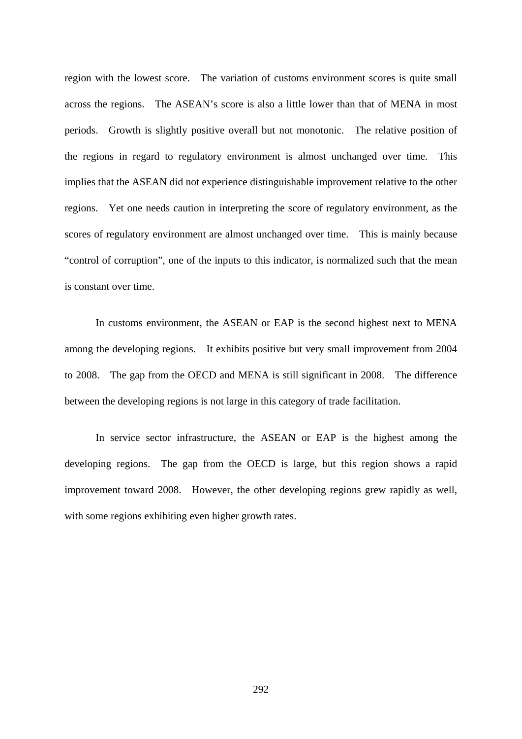region with the lowest score. The variation of customs environment scores is quite small across the regions. The ASEAN's score is also a little lower than that of MENA in most periods. Growth is slightly positive overall but not monotonic. The relative position of the regions in regard to regulatory environment is almost unchanged over time. This implies that the ASEAN did not experience distinguishable improvement relative to the other regions. Yet one needs caution in interpreting the score of regulatory environment, as the scores of regulatory environment are almost unchanged over time. This is mainly because "control of corruption", one of the inputs to this indicator, is normalized such that the mean is constant over time.

In customs environment, the ASEAN or EAP is the second highest next to MENA among the developing regions. It exhibits positive but very small improvement from 2004 to 2008. The gap from the OECD and MENA is still significant in 2008. The difference between the developing regions is not large in this category of trade facilitation.

In service sector infrastructure, the ASEAN or EAP is the highest among the developing regions. The gap from the OECD is large, but this region shows a rapid improvement toward 2008. However, the other developing regions grew rapidly as well, with some regions exhibiting even higher growth rates.

292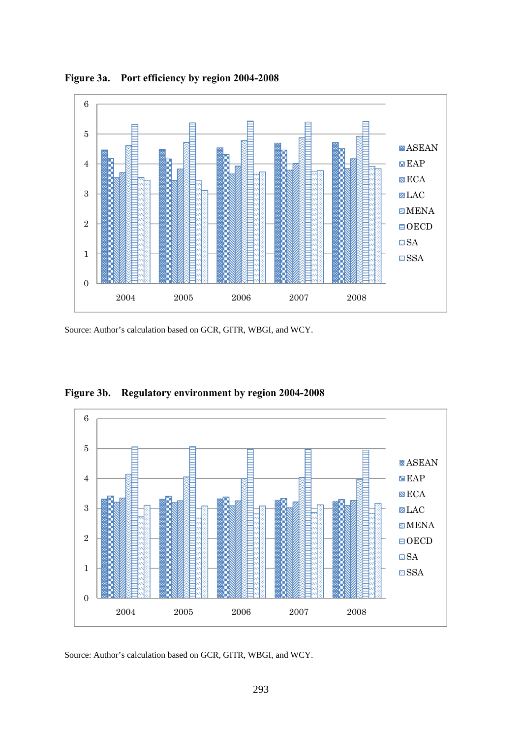

**Figure 3a. Port efficiency by region 2004-2008** 

Source: Author's calculation based on GCR, GITR, WBGI, and WCY.



**Figure 3b. Regulatory environment by region 2004-2008** 

Source: Author's calculation based on GCR, GITR, WBGI, and WCY.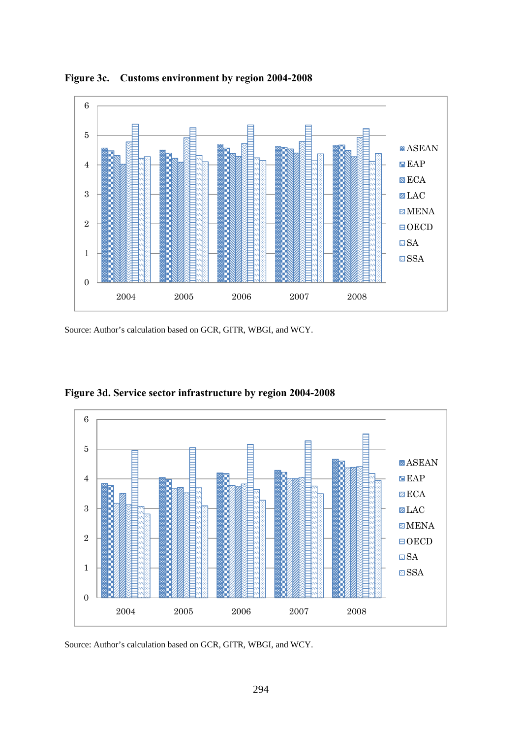

**Figure 3c. Customs environment by region 2004-2008** 

Source: Author's calculation based on GCR, GITR, WBGI, and WCY.



**Figure 3d. Service sector infrastructure by region 2004-2008** 

Source: Author's calculation based on GCR, GITR, WBGI, and WCY.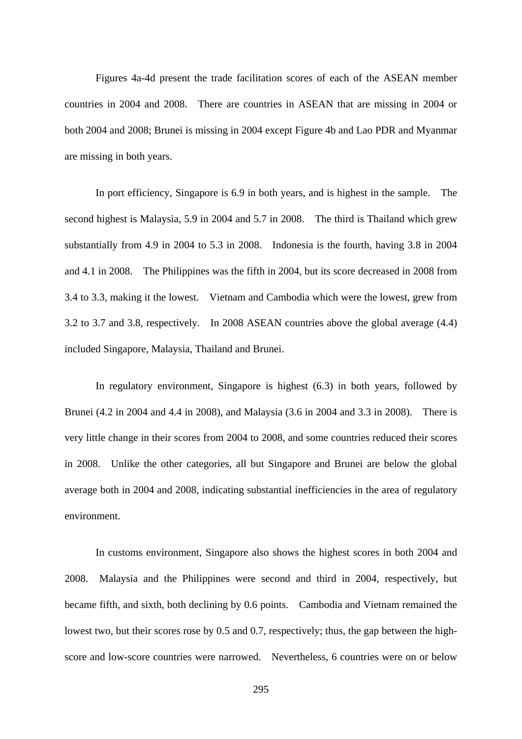Figures 4a-4d present the trade facilitation scores of each of the ASEAN member countries in 2004 and 2008. There are countries in ASEAN that are missing in 2004 or both 2004 and 2008; Brunei is missing in 2004 except Figure 4b and Lao PDR and Myanmar are missing in both years.

In port efficiency, Singapore is 6.9 in both years, and is highest in the sample. The second highest is Malaysia, 5.9 in 2004 and 5.7 in 2008. The third is Thailand which grew substantially from 4.9 in 2004 to 5.3 in 2008. Indonesia is the fourth, having 3.8 in 2004 and 4.1 in 2008. The Philippines was the fifth in 2004, but its score decreased in 2008 from 3.4 to 3.3, making it the lowest. Vietnam and Cambodia which were the lowest, grew from 3.2 to 3.7 and 3.8, respectively. In 2008 ASEAN countries above the global average (4.4) included Singapore, Malaysia, Thailand and Brunei.

In regulatory environment, Singapore is highest (6.3) in both years, followed by Brunei (4.2 in 2004 and 4.4 in 2008), and Malaysia (3.6 in 2004 and 3.3 in 2008). There is very little change in their scores from 2004 to 2008, and some countries reduced their scores in 2008. Unlike the other categories, all but Singapore and Brunei are below the global average both in 2004 and 2008, indicating substantial inefficiencies in the area of regulatory environment.

In customs environment, Singapore also shows the highest scores in both 2004 and 2008. Malaysia and the Philippines were second and third in 2004, respectively, but became fifth, and sixth, both declining by 0.6 points. Cambodia and Vietnam remained the lowest two, but their scores rose by 0.5 and 0.7, respectively; thus, the gap between the highscore and low-score countries were narrowed. Nevertheless, 6 countries were on or below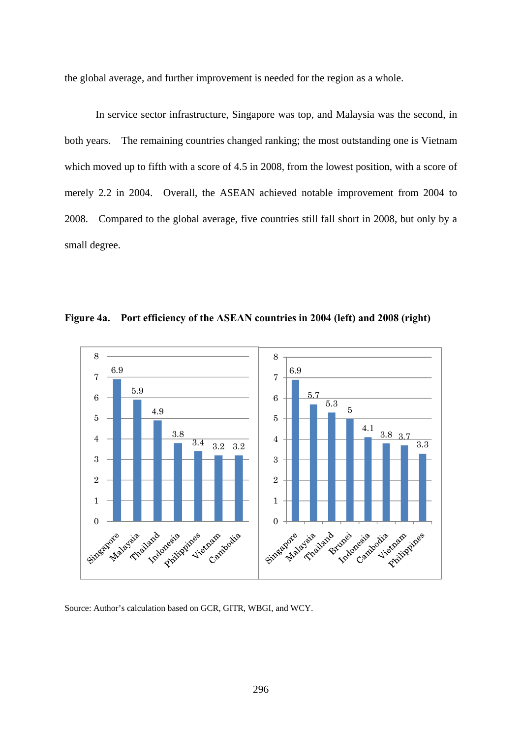the global average, and further improvement is needed for the region as a whole.

In service sector infrastructure, Singapore was top, and Malaysia was the second, in both years. The remaining countries changed ranking; the most outstanding one is Vietnam which moved up to fifth with a score of 4.5 in 2008, from the lowest position, with a score of merely 2.2 in 2004. Overall, the ASEAN achieved notable improvement from 2004 to 2008. Compared to the global average, five countries still fall short in 2008, but only by a small degree.





Source: Author's calculation based on GCR, GITR, WBGI, and WCY.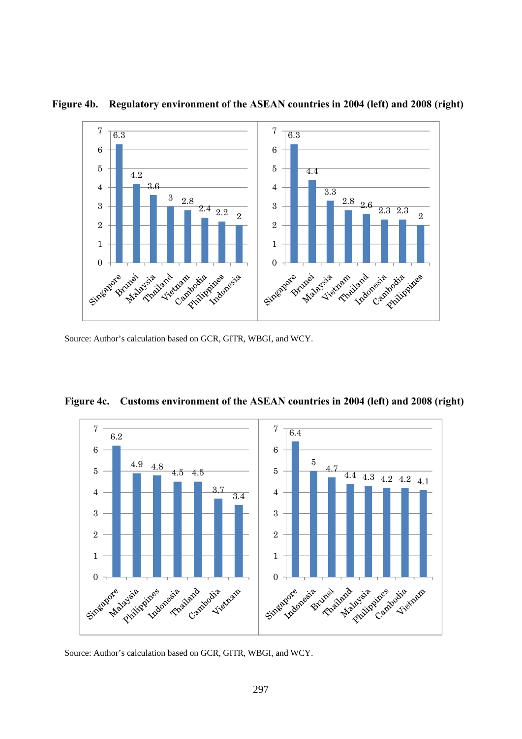

**Figure 4b. Regulatory environment of the ASEAN countries in 2004 (left) and 2008 (right)** 

Source: Author's calculation based on GCR, GITR, WBGI, and WCY.

**Figure 4c. Customs environment of the ASEAN countries in 2004 (left) and 2008 (right)** 



Source: Author's calculation based on GCR, GITR, WBGI, and WCY.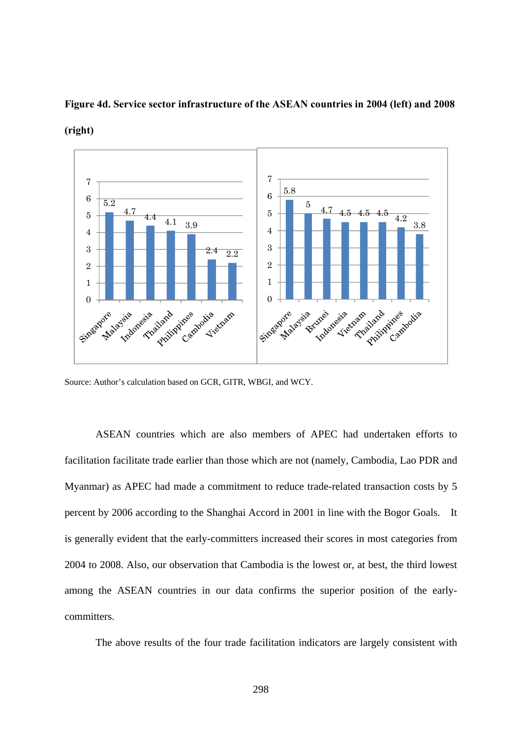

**Figure 4d. Service sector infrastructure of the ASEAN countries in 2004 (left) and 2008** 

**(right)** 

Source: Author's calculation based on GCR, GITR, WBGI, and WCY.

ASEAN countries which are also members of APEC had undertaken efforts to facilitation facilitate trade earlier than those which are not (namely, Cambodia, Lao PDR and Myanmar) as APEC had made a commitment to reduce trade-related transaction costs by 5 percent by 2006 according to the Shanghai Accord in 2001 in line with the Bogor Goals. It is generally evident that the early-committers increased their scores in most categories from 2004 to 2008. Also, our observation that Cambodia is the lowest or, at best, the third lowest among the ASEAN countries in our data confirms the superior position of the earlycommitters.

The above results of the four trade facilitation indicators are largely consistent with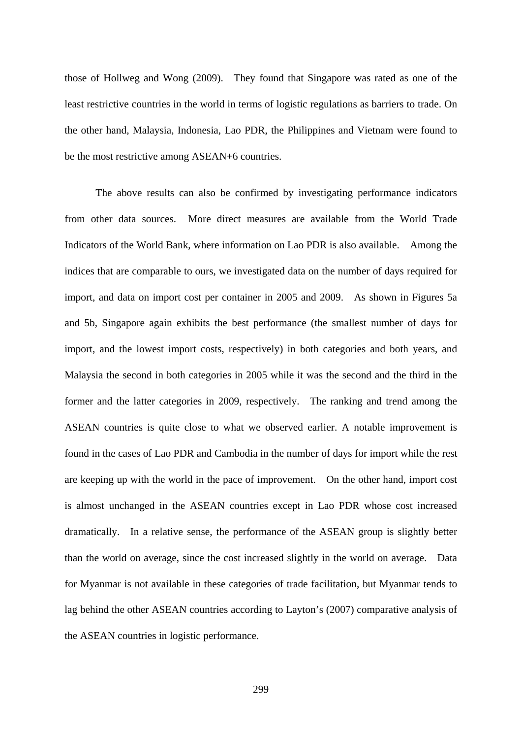those of Hollweg and Wong (2009). They found that Singapore was rated as one of the least restrictive countries in the world in terms of logistic regulations as barriers to trade. On the other hand, Malaysia, Indonesia, Lao PDR, the Philippines and Vietnam were found to be the most restrictive among ASEAN+6 countries.

The above results can also be confirmed by investigating performance indicators from other data sources. More direct measures are available from the World Trade Indicators of the World Bank, where information on Lao PDR is also available. Among the indices that are comparable to ours, we investigated data on the number of days required for import, and data on import cost per container in 2005 and 2009. As shown in Figures 5a and 5b, Singapore again exhibits the best performance (the smallest number of days for import, and the lowest import costs, respectively) in both categories and both years, and Malaysia the second in both categories in 2005 while it was the second and the third in the former and the latter categories in 2009, respectively. The ranking and trend among the ASEAN countries is quite close to what we observed earlier. A notable improvement is found in the cases of Lao PDR and Cambodia in the number of days for import while the rest are keeping up with the world in the pace of improvement. On the other hand, import cost is almost unchanged in the ASEAN countries except in Lao PDR whose cost increased dramatically. In a relative sense, the performance of the ASEAN group is slightly better than the world on average, since the cost increased slightly in the world on average. Data for Myanmar is not available in these categories of trade facilitation, but Myanmar tends to lag behind the other ASEAN countries according to Layton's (2007) comparative analysis of the ASEAN countries in logistic performance.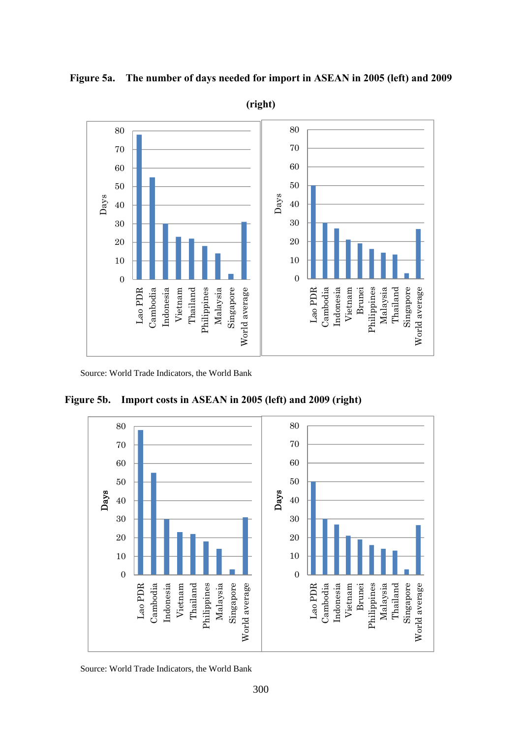

**Figure 5a. The number of days needed for import in ASEAN in 2005 (left) and 2009** 

Source: World Trade Indicators, the World Bank

**Figure 5b. Import costs in ASEAN in 2005 (left) and 2009 (right)** 



Source: World Trade Indicators, the World Bank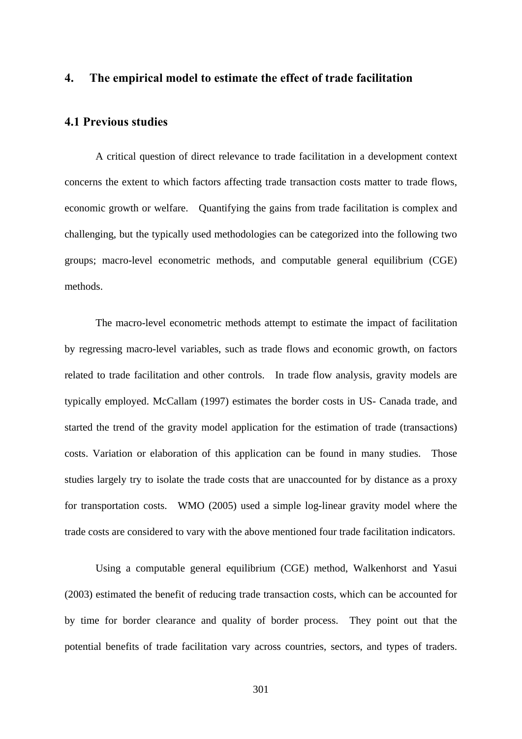#### **4. The empirical model to estimate the effect of trade facilitation**

#### **4.1 Previous studies**

A critical question of direct relevance to trade facilitation in a development context concerns the extent to which factors affecting trade transaction costs matter to trade flows, economic growth or welfare. Quantifying the gains from trade facilitation is complex and challenging, but the typically used methodologies can be categorized into the following two groups; macro-level econometric methods, and computable general equilibrium (CGE) methods.

The macro-level econometric methods attempt to estimate the impact of facilitation by regressing macro-level variables, such as trade flows and economic growth, on factors related to trade facilitation and other controls. In trade flow analysis, gravity models are typically employed. McCallam (1997) estimates the border costs in US- Canada trade, and started the trend of the gravity model application for the estimation of trade (transactions) costs. Variation or elaboration of this application can be found in many studies. Those studies largely try to isolate the trade costs that are unaccounted for by distance as a proxy for transportation costs. WMO (2005) used a simple log-linear gravity model where the trade costs are considered to vary with the above mentioned four trade facilitation indicators.

Using a computable general equilibrium (CGE) method, Walkenhorst and Yasui (2003) estimated the benefit of reducing trade transaction costs, which can be accounted for by time for border clearance and quality of border process. They point out that the potential benefits of trade facilitation vary across countries, sectors, and types of traders.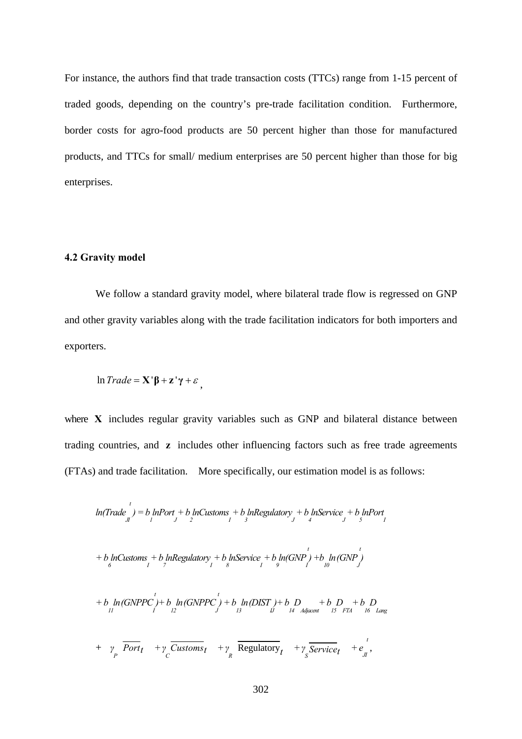For instance, the authors find that trade transaction costs (TTCs) range from 1-15 percent of traded goods, depending on the country's pre-trade facilitation condition. Furthermore, border costs for agro-food products are 50 percent higher than those for manufactured products, and TTCs for small/ medium enterprises are 50 percent higher than those for big enterprises.

#### **4.2 Gravity model**

We follow a standard gravity model, where bilateral trade flow is regressed on GNP and other gravity variables along with the trade facilitation indicators for both importers and exporters.

$$
\ln Trade = \mathbf{X}'\mathbf{\beta} + \mathbf{z}'\mathbf{\gamma} + \varepsilon,
$$

where **X** includes regular gravity variables such as GNP and bilateral distance between trading countries, and **z** includes other influencing factors such as free trade agreements (FTAs) and trade facilitation. More specifically, our estimation model is as follows:

$$
ln(Trade \int_{J}^{t}) = b \ln Port + b \ln Customs + b \ln Regulatory + b \ln Service + b \ln Port
$$
  
+ b \ln Customs + b \ln Regulatory + b \ln Service + b \ln (GNP) + b \ln (GNP)  
+ b \ln Customs + b \ln Regulatory + b \ln Service + b \ln (GNP) + b \ln (GNP)  
+ b \ln (GNPPC) + b \ln (GNPPC) + b \ln (DIST) + b \ln (B \ln \frac{1}{10} + b \ln \frac{1}{15} + b \ln \frac{1}{16} + b \ln \frac{1}{17} + b \ln \frac{1}{17} + b \ln \frac{1}{17} + b \ln \frac{1}{17} + b \ln \frac{1}{17} + b \ln \frac{1}{17} + b \ln \frac{1}{17} + b \ln \frac{1}{17} + b \ln \frac{1}{17} + b \ln \frac{1}{17} + b \ln \frac{1}{17} + b \ln \frac{1}{17} + b \ln \frac{1}{17} + b \ln \frac{1}{17} + b \ln \frac{1}{17} + b \ln \frac{1}{17} + b \ln \frac{1}{17} + b \ln \frac{1}{17} + b \ln \frac{1}{17} + b \ln \frac{1}{17} + b \ln \frac{1}{17} + b \ln \frac{1}{17} + b \ln \frac{1}{17} + b \ln \frac{1}{17} + b \ln \frac{1}{17} + b \ln \frac{1}{17} + b \ln \frac{1}{17} + b \ln \frac{1}{17} + b \ln \frac{1}{17} + b \ln \frac{1}{17} + b \ln \frac{1}{17} + b \ln \frac{1}{17} + b \ln \frac{1}{17} + b \ln \frac{1}{17} + b \ln \frac{1}{17} + b \ln \frac{1}{17} + b \ln \frac{1}{17} + b \ln \frac{1}{17} + b \ln \frac{1}{17} + b \ln \frac{1}{17} + b \ln \frac{1}{17} + b \ln \frac{1}{17} + b \ln \frac{1}{17} + b \ln \frac{1}{17} + b \ln \frac{1}{17} + b \ln \frac{1}{17} + b \ln \frac{1}{17} + b \ln \frac{1}{17} + b \ln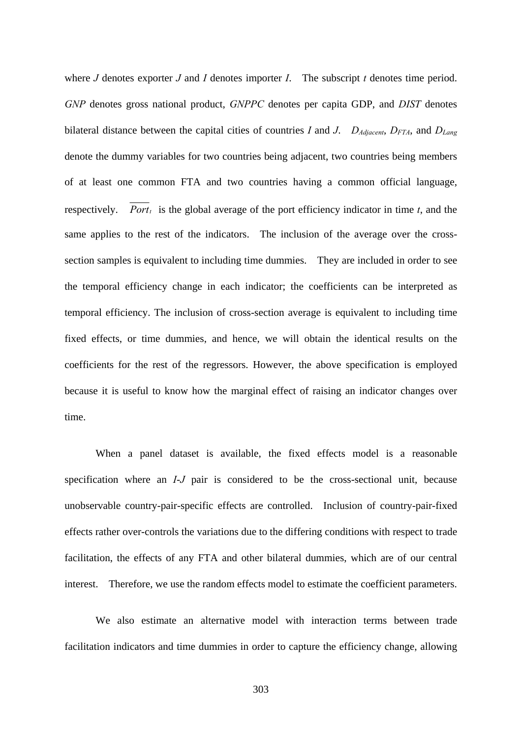where *J* denotes exporter *J* and *I* denotes importer *I*. The subscript *t* denotes time period. *GNP* denotes gross national product, *GNPPC* denotes per capita GDP, and *DIST* denotes bilateral distance between the capital cities of countries *I* and *J*.  $D_{Adiacent}$ ,  $D_{FTA}$ , and  $D_{Lang}$ denote the dummy variables for two countries being adjacent, two countries being members of at least one common FTA and two countries having a common official language, respectively. *Port<sub>t</sub>* is the global average of the port efficiency indicator in time  $t$ , and the same applies to the rest of the indicators. The inclusion of the average over the crosssection samples is equivalent to including time dummies. They are included in order to see the temporal efficiency change in each indicator; the coefficients can be interpreted as temporal efficiency. The inclusion of cross-section average is equivalent to including time fixed effects, or time dummies, and hence, we will obtain the identical results on the coefficients for the rest of the regressors. However, the above specification is employed because it is useful to know how the marginal effect of raising an indicator changes over time.

When a panel dataset is available, the fixed effects model is a reasonable specification where an *I*-*J* pair is considered to be the cross-sectional unit, because unobservable country-pair-specific effects are controlled. Inclusion of country-pair-fixed effects rather over-controls the variations due to the differing conditions with respect to trade facilitation, the effects of any FTA and other bilateral dummies, which are of our central interest. Therefore, we use the random effects model to estimate the coefficient parameters.

We also estimate an alternative model with interaction terms between trade facilitation indicators and time dummies in order to capture the efficiency change, allowing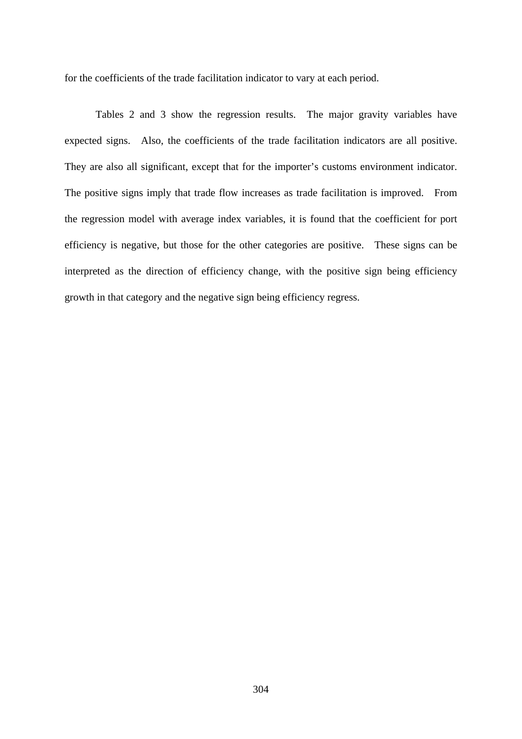for the coefficients of the trade facilitation indicator to vary at each period.

Tables 2 and 3 show the regression results. The major gravity variables have expected signs. Also, the coefficients of the trade facilitation indicators are all positive. They are also all significant, except that for the importer's customs environment indicator. The positive signs imply that trade flow increases as trade facilitation is improved. From the regression model with average index variables, it is found that the coefficient for port efficiency is negative, but those for the other categories are positive. These signs can be interpreted as the direction of efficiency change, with the positive sign being efficiency growth in that category and the negative sign being efficiency regress.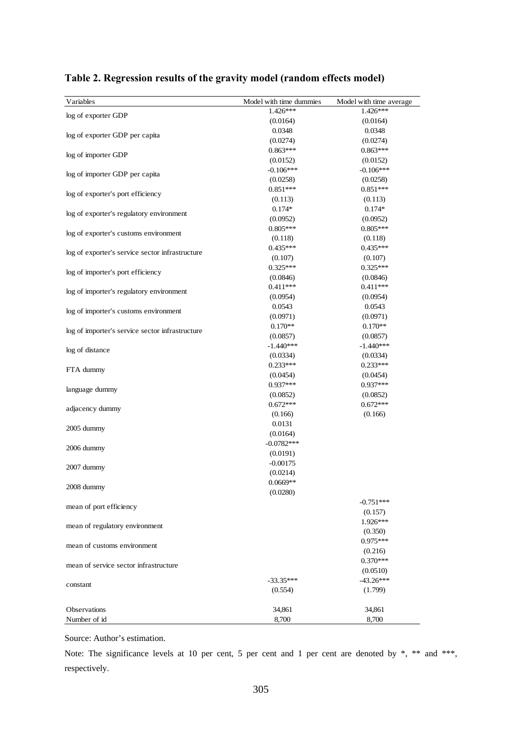| Variables                                       | Model with time dummies | Model with time average |
|-------------------------------------------------|-------------------------|-------------------------|
| log of exporter GDP                             | $1.426***$              | 1.426***                |
|                                                 | (0.0164)                | (0.0164)                |
|                                                 | 0.0348                  | 0.0348                  |
| log of exporter GDP per capita                  | (0.0274)                | (0.0274)                |
|                                                 | $0.863***$              | $0.863***$              |
| log of importer GDP                             | (0.0152)                | (0.0152)                |
|                                                 | $-0.106***$             | $-0.106***$             |
| log of importer GDP per capita                  | (0.0258)                | (0.0258)                |
|                                                 | $0.851***$              | $0.851***$              |
| log of exporter's port efficiency               | (0.113)                 | (0.113)                 |
|                                                 | $0.174*$                | $0.174*$                |
| log of exporter's regulatory environment        | (0.0952)                | (0.0952)                |
|                                                 | $0.805***$              | $0.805***$              |
| log of exporter's customs environment           | (0.118)                 | (0.118)                 |
|                                                 | $0.435***$              | $0.435***$              |
| log of exporter's service sector infrastructure | (0.107)                 | (0.107)                 |
|                                                 | $0.325***$              | $0.325***$              |
| log of importer's port efficiency               | (0.0846)                | (0.0846)                |
|                                                 | $0.411***$              | $0.411***$              |
| log of importer's regulatory environment        | (0.0954)                | (0.0954)                |
|                                                 | 0.0543                  | 0.0543                  |
| log of importer's customs environment           | (0.0971)                | (0.0971)                |
|                                                 | $0.170**$               | $0.170**$               |
| log of importer's service sector infrastructure | (0.0857)                | (0.0857)                |
|                                                 | $-1.440***$             | $-1.440***$             |
| log of distance                                 | (0.0334)                | (0.0334)                |
|                                                 | $0.233***$              | $0.233***$              |
| FTA dummy                                       | (0.0454)                | (0.0454)                |
|                                                 | $0.937***$              | $0.937***$              |
| language dummy                                  | (0.0852)                | (0.0852)                |
|                                                 | $0.672***$              | $0.672***$              |
| adjacency dummy                                 | (0.166)                 | (0.166)                 |
|                                                 | 0.0131                  |                         |
| 2005 dummy                                      | (0.0164)                |                         |
| 2006 dummy                                      | $-0.0782***$            |                         |
|                                                 | (0.0191)                |                         |
| 2007 dummy                                      | $-0.00175$              |                         |
|                                                 | (0.0214)                |                         |
| 2008 dummy                                      | $0.0669**$              |                         |
|                                                 | (0.0280)                |                         |
| mean of port efficiency                         |                         | $-0.751***$             |
|                                                 |                         | (0.157)                 |
| mean of regulatory environment                  |                         | 1.926***                |
|                                                 |                         | (0.350)                 |
| mean of customs environment                     |                         | $0.975***$              |
|                                                 |                         | (0.216)                 |
| mean of service sector infrastructure           |                         | $0.370***$              |
|                                                 |                         | (0.0510)                |
| constant                                        | $-33.35***$             | $-43.26***$             |
|                                                 | (0.554)                 | (1.799)                 |
|                                                 |                         |                         |
| <b>Observations</b>                             | 34,861                  | 34,861                  |
| Number of id                                    | 8,700                   | 8,700                   |

#### **Table 2. Regression results of the gravity model (random effects model)**

Source: Author's estimation.

Note: The significance levels at 10 per cent, 5 per cent and 1 per cent are denoted by  $\ast$ ,  $\ast\ast$  and  $\ast\ast\ast$ , respectively.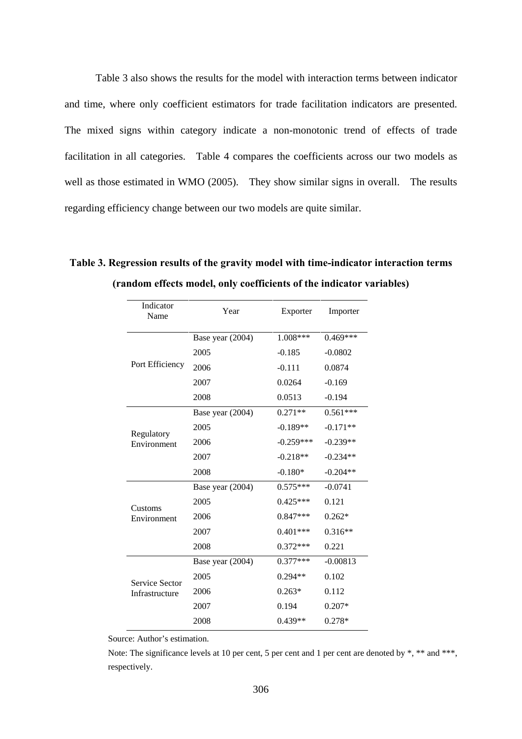Table 3 also shows the results for the model with interaction terms between indicator and time, where only coefficient estimators for trade facilitation indicators are presented. The mixed signs within category indicate a non-monotonic trend of effects of trade facilitation in all categories. Table 4 compares the coefficients across our two models as well as those estimated in WMO (2005). They show similar signs in overall. The results regarding efficiency change between our two models are quite similar.

| Indicator<br>Name | Year             | Exporter    | Importer   |  |
|-------------------|------------------|-------------|------------|--|
|                   | Base year (2004) | 1.008***    | $0.469***$ |  |
|                   | 2005             | $-0.185$    | $-0.0802$  |  |
| Port Efficiency   | 2006             | $-0.111$    | 0.0874     |  |
|                   | 2007             | 0.0264      | $-0.169$   |  |
|                   | 2008             | 0.0513      | $-0.194$   |  |
|                   | Base year (2004) | $0.271**$   | $0.561***$ |  |
| Regulatory        | 2005             | $-0.189**$  | $-0.171**$ |  |
| Environment       | 2006             | $-0.259***$ | $-0.239**$ |  |
|                   | 2007             | $-0.218**$  | $-0.234**$ |  |
|                   | 2008             | $-0.180*$   | $-0.204**$ |  |
|                   | Base year (2004) | $0.575***$  | $-0.0741$  |  |
| Customs           | 2005             | $0.425***$  | 0.121      |  |
| Environment       | 2006             | $0.847***$  | $0.262*$   |  |
|                   | 2007             | $0.401***$  | $0.316**$  |  |
|                   | 2008             | $0.372***$  | 0.221      |  |
|                   | Base year (2004) | $0.377***$  | $-0.00813$ |  |
| Service Sector    | 2005             | $0.294**$   | 0.102      |  |
| Infrastructure    | 2006             | $0.263*$    | 0.112      |  |
|                   | 2007             | 0.194       | $0.207*$   |  |
|                   | 2008             | $0.439**$   | $0.278*$   |  |

**Table 3. Regression results of the gravity model with time-indicator interaction terms (random effects model, only coefficients of the indicator variables)** 

Source: Author's estimation.

Note: The significance levels at 10 per cent, 5 per cent and 1 per cent are denoted by \*, \*\* and \*\*\*, respectively.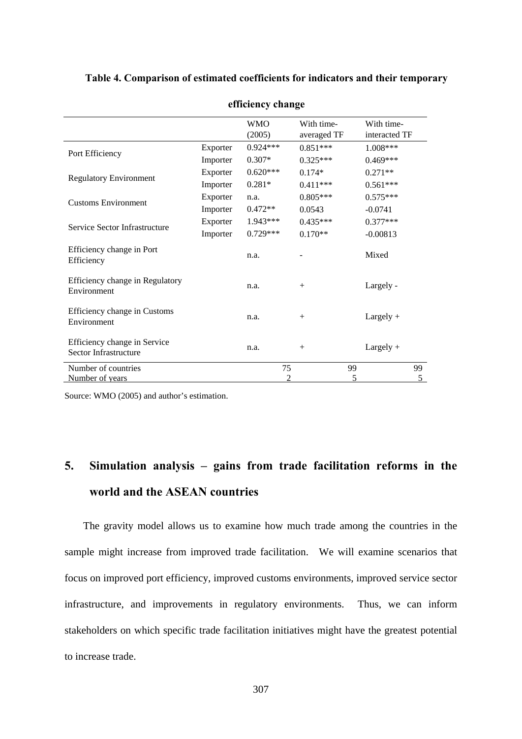|                                                       | efficiency change    |                      |                           |                             |    |
|-------------------------------------------------------|----------------------|----------------------|---------------------------|-----------------------------|----|
|                                                       |                      | <b>WMO</b><br>(2005) | With time-<br>averaged TF | With time-<br>interacted TF |    |
| Port Efficiency                                       | Exporter             | $0.924***$           | $0.851***$                | $1.008***$                  |    |
|                                                       | Importer             | $0.307*$             | $0.325***$                | $0.469***$                  |    |
|                                                       | Exporter             | $0.620***$           | $0.174*$                  | $0.271**$                   |    |
| <b>Regulatory Environment</b>                         | $0.281*$<br>Importer |                      | $0.411***$                | $0.561***$                  |    |
| <b>Customs Environment</b>                            | Exporter             | n.a.                 | $0.805***$<br>$0.575***$  |                             |    |
|                                                       | Importer             | $0.472**$            | 0.0543                    | $-0.0741$                   |    |
| Service Sector Infrastructure                         | Exporter             | $1.943***$           | $0.435***$                | $0.377***$                  |    |
|                                                       | Importer             | $0.729***$           | $0.170**$                 | $-0.00813$                  |    |
| Efficiency change in Port<br>Efficiency               |                      | n.a.                 |                           | Mixed                       |    |
| Efficiency change in Regulatory<br>Environment        |                      | n.a.                 | $^{+}$                    | Largely -                   |    |
| Efficiency change in Customs<br>Environment           |                      | n.a.                 | $^{+}$                    | $Largely +$                 |    |
| Efficiency change in Service<br>Sector Infrastructure |                      | n.a.                 | $^{+}$                    | $Largely +$                 |    |
| Number of countries                                   |                      | 75                   |                           | 99                          | 99 |
| Number of years                                       |                      | 2                    |                           | 5                           | 5  |

#### **Table 4. Comparison of estimated coefficients for indicators and their temporary**

Source: WMO (2005) and author's estimation.

## **5. Simulation analysis – gains from trade facilitation reforms in the world and the ASEAN countries**

The gravity model allows us to examine how much trade among the countries in the sample might increase from improved trade facilitation. We will examine scenarios that focus on improved port efficiency, improved customs environments, improved service sector infrastructure, and improvements in regulatory environments. Thus, we can inform stakeholders on which specific trade facilitation initiatives might have the greatest potential to increase trade.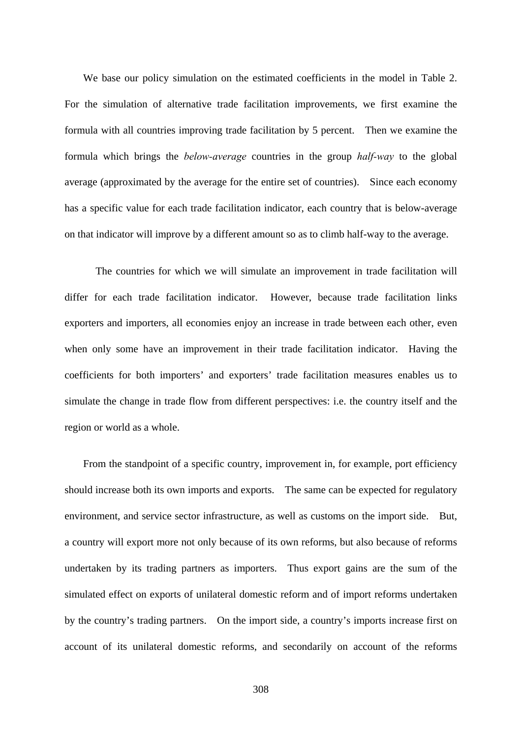We base our policy simulation on the estimated coefficients in the model in Table 2. For the simulation of alternative trade facilitation improvements, we first examine the formula with all countries improving trade facilitation by 5 percent. Then we examine the formula which brings the *below-average* countries in the group *half-way* to the global average (approximated by the average for the entire set of countries). Since each economy has a specific value for each trade facilitation indicator, each country that is below-average on that indicator will improve by a different amount so as to climb half-way to the average.

The countries for which we will simulate an improvement in trade facilitation will differ for each trade facilitation indicator. However, because trade facilitation links exporters and importers, all economies enjoy an increase in trade between each other, even when only some have an improvement in their trade facilitation indicator. Having the coefficients for both importers' and exporters' trade facilitation measures enables us to simulate the change in trade flow from different perspectives: i.e. the country itself and the region or world as a whole.

From the standpoint of a specific country, improvement in, for example, port efficiency should increase both its own imports and exports. The same can be expected for regulatory environment, and service sector infrastructure, as well as customs on the import side. But, a country will export more not only because of its own reforms, but also because of reforms undertaken by its trading partners as importers. Thus export gains are the sum of the simulated effect on exports of unilateral domestic reform and of import reforms undertaken by the country's trading partners. On the import side, a country's imports increase first on account of its unilateral domestic reforms, and secondarily on account of the reforms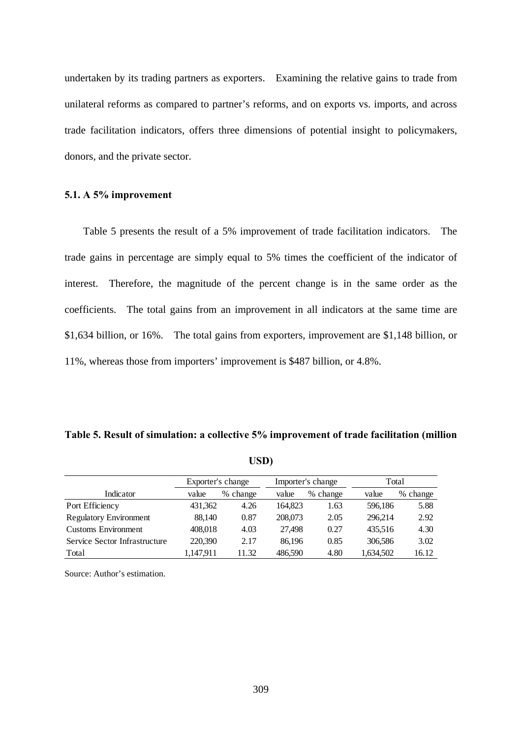undertaken by its trading partners as exporters. Examining the relative gains to trade from unilateral reforms as compared to partner's reforms, and on exports vs. imports, and across trade facilitation indicators, offers three dimensions of potential insight to policymakers, donors, and the private sector.

#### **5.1. A 5% improvement**

Table 5 presents the result of a 5% improvement of trade facilitation indicators. The trade gains in percentage are simply equal to 5% times the coefficient of the indicator of interest. Therefore, the magnitude of the percent change is in the same order as the coefficients. The total gains from an improvement in all indicators at the same time are \$1,634 billion, or 16%. The total gains from exporters, improvement are \$1,148 billion, or 11%, whereas those from importers' improvement is \$487 billion, or 4.8%.

| Table 5. Result of simulation: a collective 5% improvement of trade facilitation (million |  |  |
|-------------------------------------------------------------------------------------------|--|--|
|-------------------------------------------------------------------------------------------|--|--|

|                               | Exporter's change |          | Importer's change |          | Total     |          |
|-------------------------------|-------------------|----------|-------------------|----------|-----------|----------|
| Indicator                     | value             | % change | value             | % change | value     | % change |
| Port Efficiency               | 431,362           | 4.26     | 164.823           | 1.63     | 596.186   | 5.88     |
| <b>Regulatory Environment</b> | 88.140            | 0.87     | 208,073           | 2.05     | 296.214   | 2.92     |
| <b>Customs Environment</b>    | 408,018           | 4.03     | 27.498            | 0.27     | 435.516   | 4.30     |
| Service Sector Infrastructure | 220,390           | 2.17     | 86.196            | 0.85     | 306,586   | 3.02     |
| Total                         | 1,147,911         | 11.32    | 486,590           | 4.80     | 1,634,502 | 16.12    |

**USD)** 

Source: Author's estimation.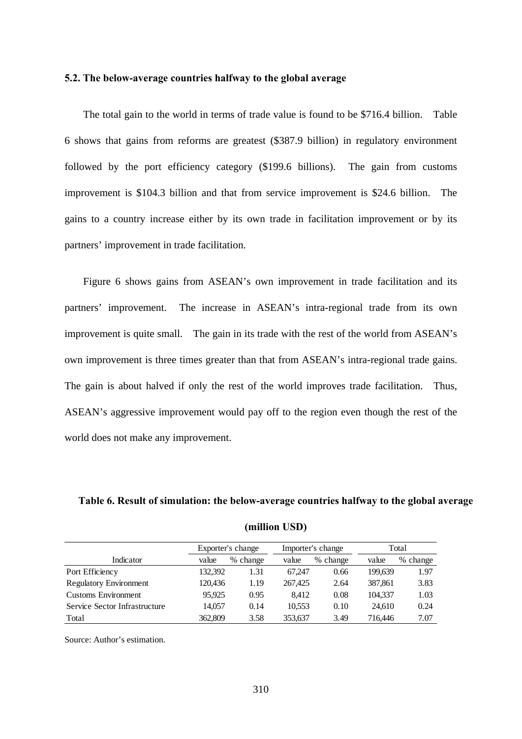#### **5.2. The below-average countries halfway to the global average**

The total gain to the world in terms of trade value is found to be \$716.4 billion. Table 6 shows that gains from reforms are greatest (\$387.9 billion) in regulatory environment followed by the port efficiency category (\$199.6 billions). The gain from customs improvement is \$104.3 billion and that from service improvement is \$24.6 billion. The gains to a country increase either by its own trade in facilitation improvement or by its partners' improvement in trade facilitation.

Figure 6 shows gains from ASEAN's own improvement in trade facilitation and its partners' improvement. The increase in ASEAN's intra-regional trade from its own improvement is quite small. The gain in its trade with the rest of the world from ASEAN's own improvement is three times greater than that from ASEAN's intra-regional trade gains. The gain is about halved if only the rest of the world improves trade facilitation. Thus, ASEAN's aggressive improvement would pay off to the region even though the rest of the world does not make any improvement.

#### **Table 6. Result of simulation: the below-average countries halfway to the global average**

|                               | Exporter's change |          |         | Importer's change |         | Total          |  |
|-------------------------------|-------------------|----------|---------|-------------------|---------|----------------|--|
| Indicator                     | value             | % change | value   | % change          | value   | $\%$<br>change |  |
| Port Efficiency               | 132,392           | 1.31     | 67.247  | 0.66              | 199.639 | 1.97           |  |
| <b>Regulatory Environment</b> | 120,436           | 1.19     | 267,425 | 2.64              | 387,861 | 3.83           |  |
| <b>Customs Environment</b>    | 95.925            | 0.95     | 8.412   | 0.08              | 104.337 | 1.03           |  |
| Service Sector Infrastructure | 14,057            | 0.14     | 10.553  | 0.10              | 24,610  | 0.24           |  |
| Total                         | 362,809           | 3.58     | 353.637 | 3.49              | 716,446 | 7.07           |  |

**(million USD)** 

Source: Author's estimation.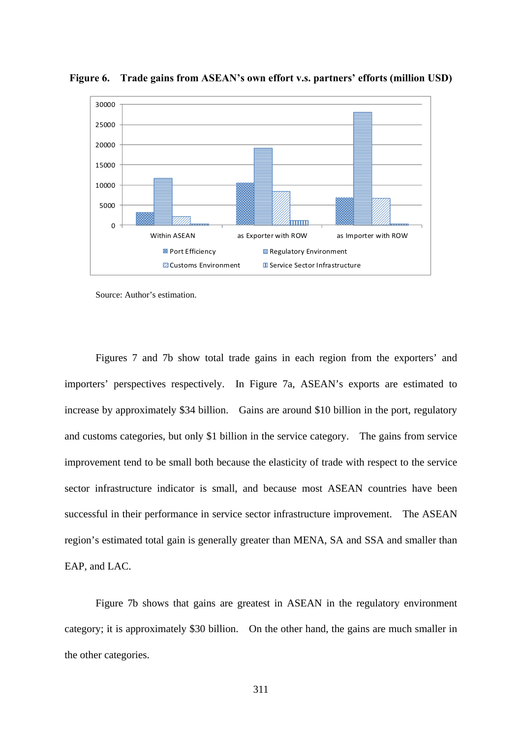

**Figure 6. Trade gains from ASEAN's own effort v.s. partners' efforts (million USD)** 

Source: Author's estimation.

Figures 7 and 7b show total trade gains in each region from the exporters' and importers' perspectives respectively. In Figure 7a, ASEAN's exports are estimated to increase by approximately \$34 billion. Gains are around \$10 billion in the port, regulatory and customs categories, but only \$1 billion in the service category. The gains from service improvement tend to be small both because the elasticity of trade with respect to the service sector infrastructure indicator is small, and because most ASEAN countries have been successful in their performance in service sector infrastructure improvement. The ASEAN region's estimated total gain is generally greater than MENA, SA and SSA and smaller than EAP, and LAC.

Figure 7b shows that gains are greatest in ASEAN in the regulatory environment category; it is approximately \$30 billion. On the other hand, the gains are much smaller in the other categories.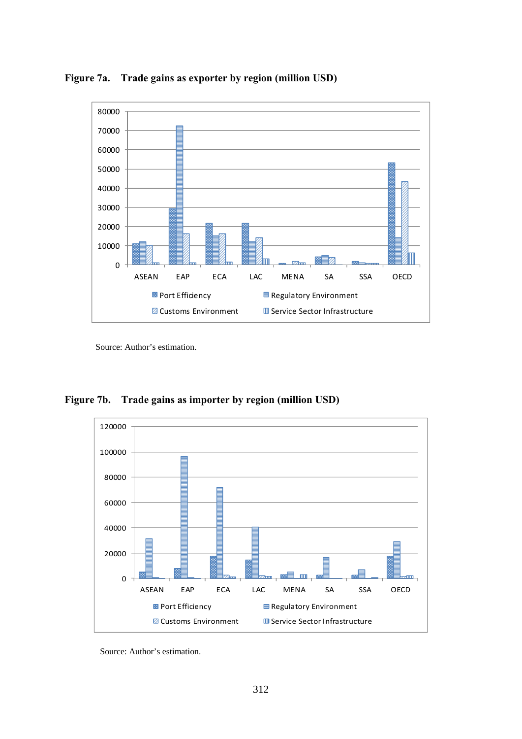

**Figure 7a. Trade gains as exporter by region (million USD)** 

Source: Author's estimation.

**Figure 7b. Trade gains as importer by region (million USD)** 



Source: Author's estimation.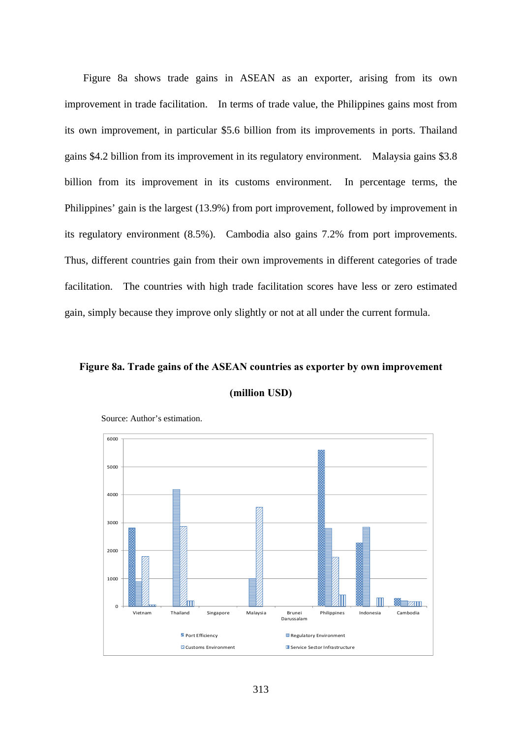Figure 8a shows trade gains in ASEAN as an exporter, arising from its own improvement in trade facilitation. In terms of trade value, the Philippines gains most from its own improvement, in particular \$5.6 billion from its improvements in ports. Thailand gains \$4.2 billion from its improvement in its regulatory environment. Malaysia gains \$3.8 billion from its improvement in its customs environment. In percentage terms, the Philippines' gain is the largest (13.9%) from port improvement, followed by improvement in its regulatory environment (8.5%). Cambodia also gains 7.2% from port improvements. Thus, different countries gain from their own improvements in different categories of trade facilitation. The countries with high trade facilitation scores have less or zero estimated gain, simply because they improve only slightly or not at all under the current formula.

### **Figure 8a. Trade gains of the ASEAN countries as exporter by own improvement (million USD)**



Source: Author's estimation.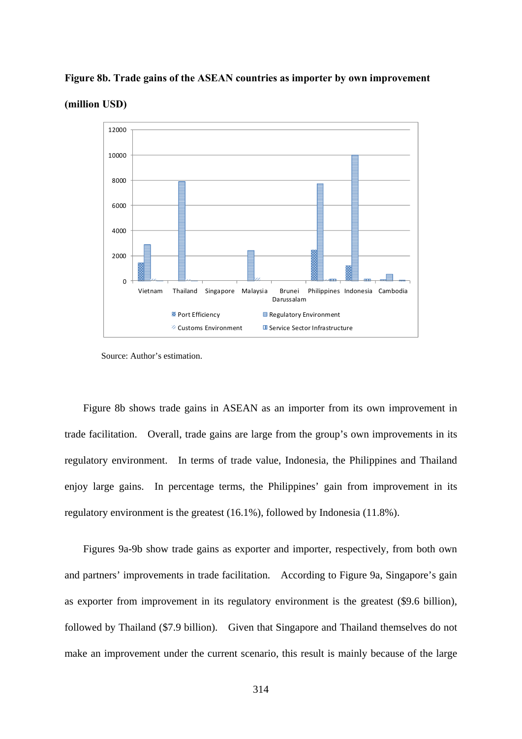#### **Figure 8b. Trade gains of the ASEAN countries as importer by own improvement**





Figure 8b shows trade gains in ASEAN as an importer from its own improvement in trade facilitation. Overall, trade gains are large from the group's own improvements in its regulatory environment. In terms of trade value, Indonesia, the Philippines and Thailand enjoy large gains. In percentage terms, the Philippines' gain from improvement in its regulatory environment is the greatest (16.1%), followed by Indonesia (11.8%).

Figures 9a-9b show trade gains as exporter and importer, respectively, from both own and partners' improvements in trade facilitation. According to Figure 9a, Singapore's gain as exporter from improvement in its regulatory environment is the greatest (\$9.6 billion), followed by Thailand (\$7.9 billion). Given that Singapore and Thailand themselves do not make an improvement under the current scenario, this result is mainly because of the large

Source: Author's estimation.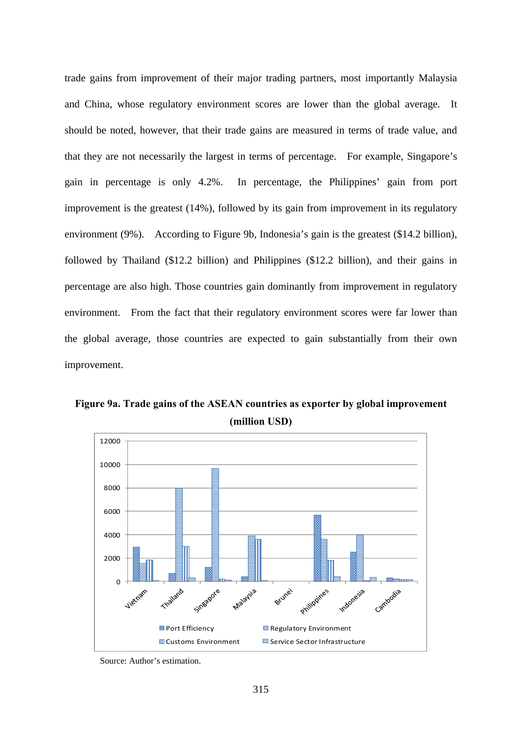trade gains from improvement of their major trading partners, most importantly Malaysia and China, whose regulatory environment scores are lower than the global average. It should be noted, however, that their trade gains are measured in terms of trade value, and that they are not necessarily the largest in terms of percentage. For example, Singapore's gain in percentage is only 4.2%. In percentage, the Philippines' gain from port improvement is the greatest (14%), followed by its gain from improvement in its regulatory environment (9%). According to Figure 9b, Indonesia's gain is the greatest (\$14.2 billion), followed by Thailand (\$12.2 billion) and Philippines (\$12.2 billion), and their gains in percentage are also high. Those countries gain dominantly from improvement in regulatory environment. From the fact that their regulatory environment scores were far lower than the global average, those countries are expected to gain substantially from their own improvement.

**Figure 9a. Trade gains of the ASEAN countries as exporter by global improvement (million USD)** 



Source: Author's estimation.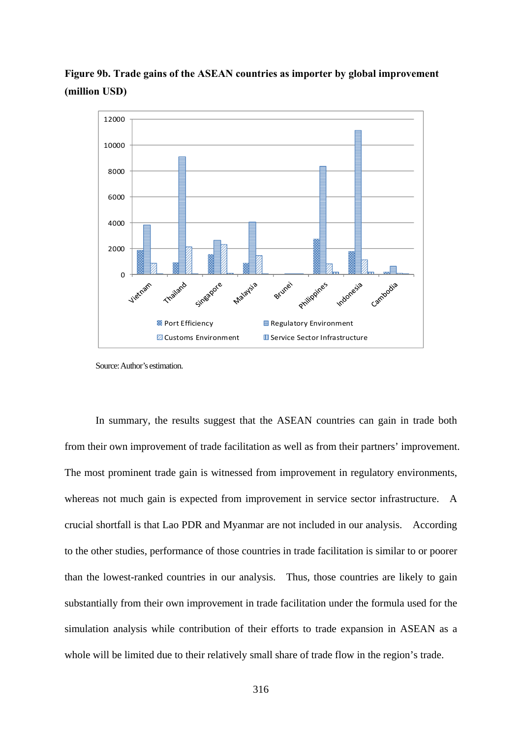



Source: Author's estimation.

In summary, the results suggest that the ASEAN countries can gain in trade both from their own improvement of trade facilitation as well as from their partners' improvement. The most prominent trade gain is witnessed from improvement in regulatory environments, whereas not much gain is expected from improvement in service sector infrastructure. A crucial shortfall is that Lao PDR and Myanmar are not included in our analysis. According to the other studies, performance of those countries in trade facilitation is similar to or poorer than the lowest-ranked countries in our analysis. Thus, those countries are likely to gain substantially from their own improvement in trade facilitation under the formula used for the simulation analysis while contribution of their efforts to trade expansion in ASEAN as a whole will be limited due to their relatively small share of trade flow in the region's trade.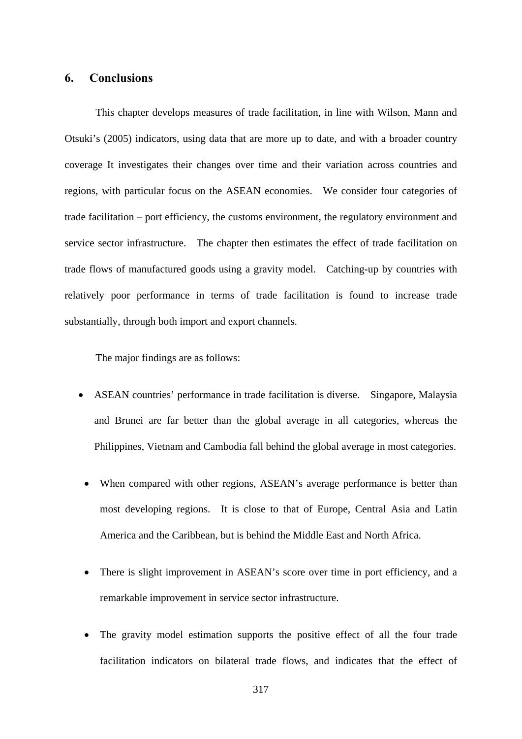#### **6. Conclusions**

This chapter develops measures of trade facilitation, in line with Wilson, Mann and Otsuki's (2005) indicators, using data that are more up to date, and with a broader country coverage It investigates their changes over time and their variation across countries and regions, with particular focus on the ASEAN economies. We consider four categories of trade facilitation – port efficiency, the customs environment, the regulatory environment and service sector infrastructure. The chapter then estimates the effect of trade facilitation on trade flows of manufactured goods using a gravity model. Catching-up by countries with relatively poor performance in terms of trade facilitation is found to increase trade substantially, through both import and export channels.

The major findings are as follows:

- ASEAN countries' performance in trade facilitation is diverse. Singapore, Malaysia and Brunei are far better than the global average in all categories, whereas the Philippines, Vietnam and Cambodia fall behind the global average in most categories.
	- When compared with other regions, ASEAN's average performance is better than most developing regions. It is close to that of Europe, Central Asia and Latin America and the Caribbean, but is behind the Middle East and North Africa.
	- There is slight improvement in ASEAN's score over time in port efficiency, and a remarkable improvement in service sector infrastructure.
	- The gravity model estimation supports the positive effect of all the four trade facilitation indicators on bilateral trade flows, and indicates that the effect of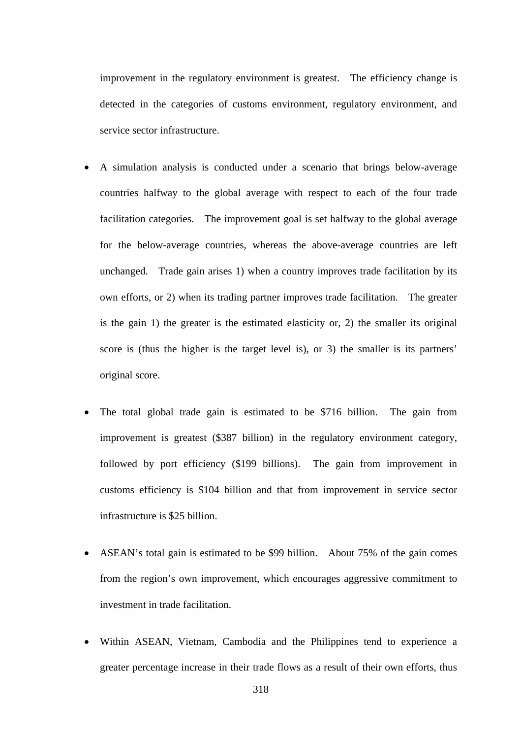improvement in the regulatory environment is greatest. The efficiency change is detected in the categories of customs environment, regulatory environment, and service sector infrastructure.

- A simulation analysis is conducted under a scenario that brings below-average countries halfway to the global average with respect to each of the four trade facilitation categories. The improvement goal is set halfway to the global average for the below-average countries, whereas the above-average countries are left unchanged. Trade gain arises 1) when a country improves trade facilitation by its own efforts, or 2) when its trading partner improves trade facilitation. The greater is the gain 1) the greater is the estimated elasticity or, 2) the smaller its original score is (thus the higher is the target level is), or 3) the smaller is its partners' original score.
- The total global trade gain is estimated to be \$716 billion. The gain from improvement is greatest (\$387 billion) in the regulatory environment category, followed by port efficiency (\$199 billions). The gain from improvement in customs efficiency is \$104 billion and that from improvement in service sector infrastructure is \$25 billion.
- ASEAN's total gain is estimated to be \$99 billion. About 75% of the gain comes from the region's own improvement, which encourages aggressive commitment to investment in trade facilitation.
- Within ASEAN, Vietnam, Cambodia and the Philippines tend to experience a greater percentage increase in their trade flows as a result of their own efforts, thus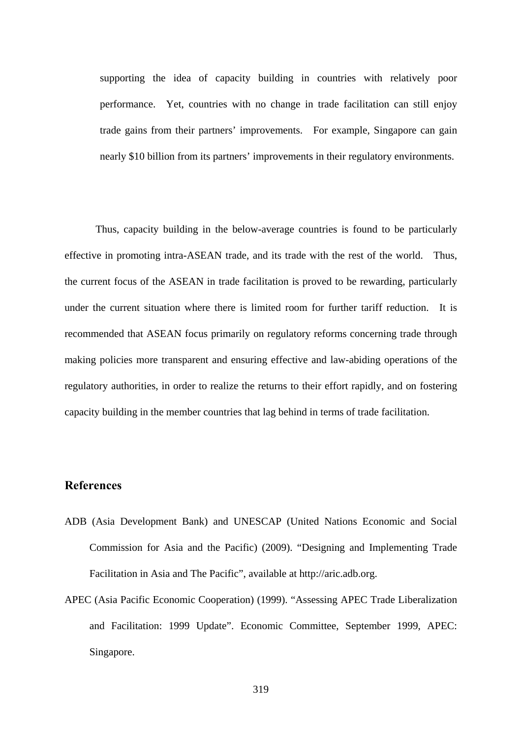supporting the idea of capacity building in countries with relatively poor performance. Yet, countries with no change in trade facilitation can still enjoy trade gains from their partners' improvements. For example, Singapore can gain nearly \$10 billion from its partners' improvements in their regulatory environments.

Thus, capacity building in the below-average countries is found to be particularly effective in promoting intra-ASEAN trade, and its trade with the rest of the world. Thus, the current focus of the ASEAN in trade facilitation is proved to be rewarding, particularly under the current situation where there is limited room for further tariff reduction. It is recommended that ASEAN focus primarily on regulatory reforms concerning trade through making policies more transparent and ensuring effective and law-abiding operations of the regulatory authorities, in order to realize the returns to their effort rapidly, and on fostering capacity building in the member countries that lag behind in terms of trade facilitation.

#### **References**

- ADB (Asia Development Bank) and UNESCAP (United Nations Economic and Social Commission for Asia and the Pacific) (2009). "Designing and Implementing Trade Facilitation in Asia and The Pacific", available at http://aric.adb.org.
- APEC (Asia Pacific Economic Cooperation) (1999). "Assessing APEC Trade Liberalization and Facilitation: 1999 Update". Economic Committee, September 1999, APEC: Singapore.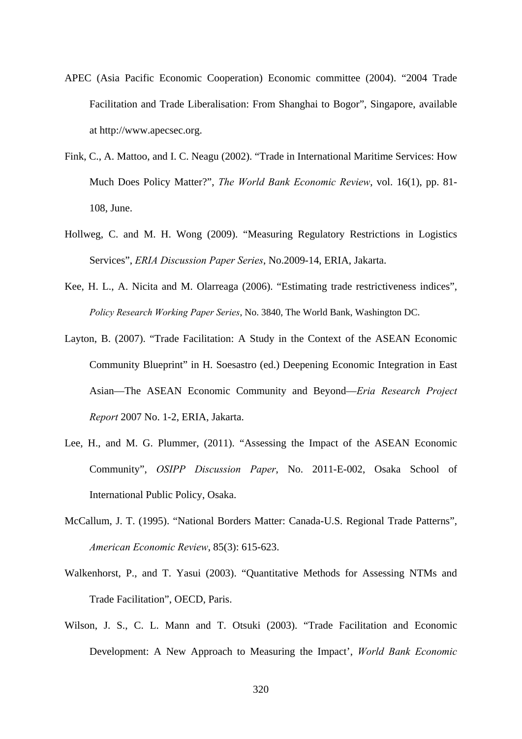- APEC (Asia Pacific Economic Cooperation) Economic committee (2004). "2004 Trade Facilitation and Trade Liberalisation: From Shanghai to Bogor", Singapore, available at http://www.apecsec.org.
- Fink, C., A. Mattoo, and I. C. Neagu (2002). "Trade in International Maritime Services: How Much Does Policy Matter?", *The World Bank Economic Review*, vol. 16(1), pp. 81- 108, June.
- Hollweg, C. and M. H. Wong (2009). "Measuring Regulatory Restrictions in Logistics Services", *ERIA Discussion Paper Series*, No.2009-14, ERIA, Jakarta.
- Kee, H. L., A. Nicita and M. Olarreaga (2006). "Estimating trade restrictiveness indices", *Policy Research Working Paper Series*, No. 3840, The World Bank, Washington DC.
- Layton, B. (2007). "Trade Facilitation: A Study in the Context of the ASEAN Economic Community Blueprint" in H. Soesastro (ed.) Deepening Economic Integration in East Asian—The ASEAN Economic Community and Beyond—*Eria Research Project Report* 2007 No. 1-2, ERIA, Jakarta.
- Lee, H., and M. G. Plummer, (2011). "Assessing the Impact of the ASEAN Economic Community", *OSIPP Discussion Paper*, No. 2011-E-002, Osaka School of International Public Policy, Osaka.
- McCallum, J. T. (1995). "National Borders Matter: Canada-U.S. Regional Trade Patterns", *American Economic Review*, 85(3): 615-623.
- Walkenhorst, P., and T. Yasui (2003). "Quantitative Methods for Assessing NTMs and Trade Facilitation", OECD, Paris.
- Wilson, J. S., C. L. Mann and T. Otsuki (2003). "Trade Facilitation and Economic Development: A New Approach to Measuring the Impact', *World Bank Economic*